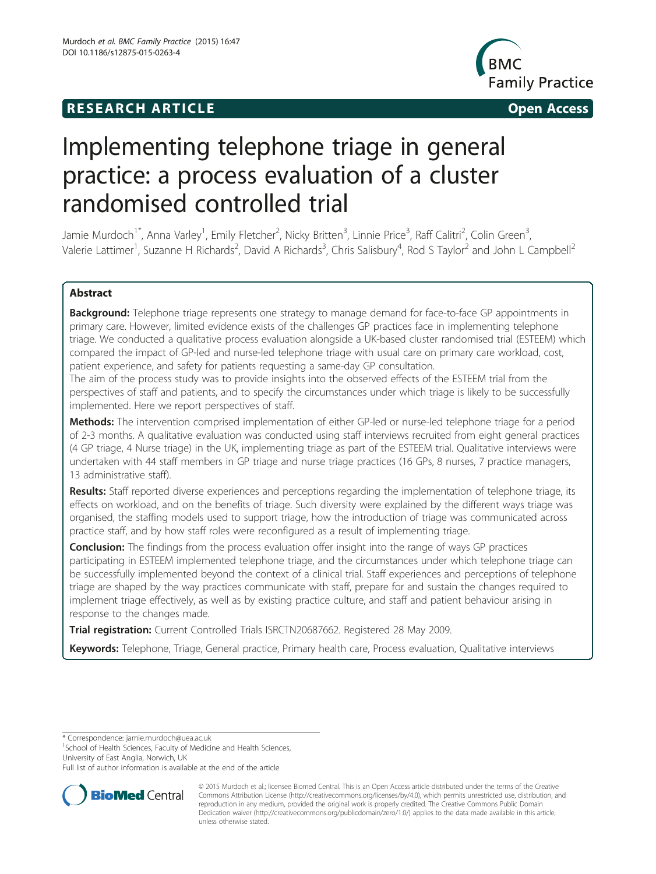# **RESEARCH ARTICLE CONSUMING A RESEARCH ARTICLE**



# Implementing telephone triage in general practice: a process evaluation of a cluster randomised controlled trial

Jamie Murdoch<sup>1\*</sup>, Anna Varley<sup>1</sup>, Emily Fletcher<sup>2</sup>, Nicky Britten<sup>3</sup>, Linnie Price<sup>3</sup>, Raff Calitri<sup>2</sup>, Colin Green<sup>3</sup> , Valerie Lattimer<sup>1</sup>, Suzanne H Richards<sup>2</sup>, David A Richards<sup>3</sup>, Chris Salisbury<sup>4</sup>, Rod S Taylor<sup>2</sup> and John L Campbell<sup>2</sup>

# Abstract

**Background:** Telephone triage represents one strategy to manage demand for face-to-face GP appointments in primary care. However, limited evidence exists of the challenges GP practices face in implementing telephone triage. We conducted a qualitative process evaluation alongside a UK-based cluster randomised trial (ESTEEM) which compared the impact of GP-led and nurse-led telephone triage with usual care on primary care workload, cost, patient experience, and safety for patients requesting a same-day GP consultation.

The aim of the process study was to provide insights into the observed effects of the ESTEEM trial from the perspectives of staff and patients, and to specify the circumstances under which triage is likely to be successfully implemented. Here we report perspectives of staff.

Methods: The intervention comprised implementation of either GP-led or nurse-led telephone triage for a period of 2-3 months. A qualitative evaluation was conducted using staff interviews recruited from eight general practices (4 GP triage, 4 Nurse triage) in the UK, implementing triage as part of the ESTEEM trial. Qualitative interviews were undertaken with 44 staff members in GP triage and nurse triage practices (16 GPs, 8 nurses, 7 practice managers, 13 administrative staff).

Results: Staff reported diverse experiences and perceptions regarding the implementation of telephone triage, its effects on workload, and on the benefits of triage. Such diversity were explained by the different ways triage was organised, the staffing models used to support triage, how the introduction of triage was communicated across practice staff, and by how staff roles were reconfigured as a result of implementing triage.

**Conclusion:** The findings from the process evaluation offer insight into the range of ways GP practices participating in ESTEEM implemented telephone triage, and the circumstances under which telephone triage can be successfully implemented beyond the context of a clinical trial. Staff experiences and perceptions of telephone triage are shaped by the way practices communicate with staff, prepare for and sustain the changes required to implement triage effectively, as well as by existing practice culture, and staff and patient behaviour arising in response to the changes made.

Trial registration: Current Controlled Trials [ISRCTN20687662.](http://www.isrctn.com/ISRCTN20687662?q=ISRCTN20687662&filters=&sort=&offset=1&totalResults=1&page=1&pageSize=10&searchType=basic-search) Registered 28 May 2009.

Keywords: Telephone, Triage, General practice, Primary health care, Process evaluation, Qualitative interviews

\* Correspondence: [jamie.murdoch@uea.ac.uk](mailto:jamie.murdoch@uea.ac.uk) <sup>1</sup>

<sup>1</sup>School of Health Sciences, Faculty of Medicine and Health Sciences, University of East Anglia, Norwich, UK

Full list of author information is available at the end of the article



<sup>© 2015</sup> Murdoch et al.; licensee Biomed Central. This is an Open Access article distributed under the terms of the Creative Commons Attribution License [\(http://creativecommons.org/licenses/by/4.0\)](http://creativecommons.org/licenses/by/4.0), which permits unrestricted use, distribution, and reproduction in any medium, provided the original work is properly credited. The Creative Commons Public Domain Dedication waiver [\(http://creativecommons.org/publicdomain/zero/1.0/](http://creativecommons.org/publicdomain/zero/1.0/)) applies to the data made available in this article, unless otherwise stated.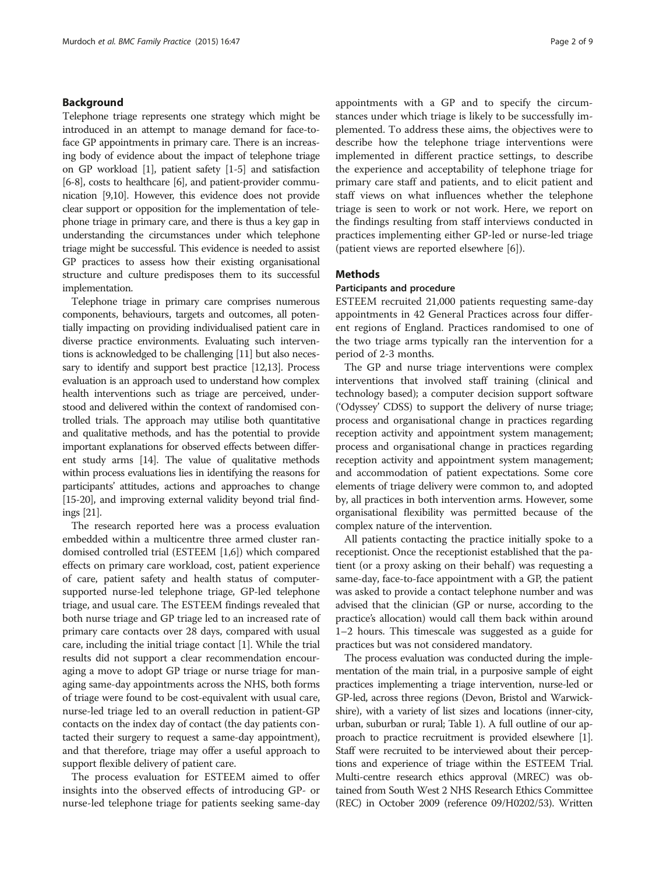#### Background

Telephone triage represents one strategy which might be introduced in an attempt to manage demand for face-toface GP appointments in primary care. There is an increasing body of evidence about the impact of telephone triage on GP workload [\[1\]](#page-7-0), patient safety [[1](#page-7-0)-[5](#page-8-0)] and satisfaction [[6](#page-8-0)-[8\]](#page-8-0), costs to healthcare [\[6\]](#page-8-0), and patient-provider communication [\[9,10](#page-8-0)]. However, this evidence does not provide clear support or opposition for the implementation of telephone triage in primary care, and there is thus a key gap in understanding the circumstances under which telephone triage might be successful. This evidence is needed to assist GP practices to assess how their existing organisational structure and culture predisposes them to its successful implementation.

Telephone triage in primary care comprises numerous components, behaviours, targets and outcomes, all potentially impacting on providing individualised patient care in diverse practice environments. Evaluating such interventions is acknowledged to be challenging [\[11](#page-8-0)] but also necessary to identify and support best practice [\[12,13](#page-8-0)]. Process evaluation is an approach used to understand how complex health interventions such as triage are perceived, understood and delivered within the context of randomised controlled trials. The approach may utilise both quantitative and qualitative methods, and has the potential to provide important explanations for observed effects between different study arms [[14](#page-8-0)]. The value of qualitative methods within process evaluations lies in identifying the reasons for participants' attitudes, actions and approaches to change [[15](#page-8-0)-[20\]](#page-8-0), and improving external validity beyond trial findings [\[21](#page-8-0)].

The research reported here was a process evaluation embedded within a multicentre three armed cluster randomised controlled trial (ESTEEM [[1](#page-7-0)[,6](#page-8-0)]) which compared effects on primary care workload, cost, patient experience of care, patient safety and health status of computersupported nurse-led telephone triage, GP-led telephone triage, and usual care. The ESTEEM findings revealed that both nurse triage and GP triage led to an increased rate of primary care contacts over 28 days, compared with usual care, including the initial triage contact [\[1](#page-7-0)]. While the trial results did not support a clear recommendation encouraging a move to adopt GP triage or nurse triage for managing same-day appointments across the NHS, both forms of triage were found to be cost-equivalent with usual care, nurse-led triage led to an overall reduction in patient-GP contacts on the index day of contact (the day patients contacted their surgery to request a same-day appointment), and that therefore, triage may offer a useful approach to support flexible delivery of patient care.

The process evaluation for ESTEEM aimed to offer insights into the observed effects of introducing GP- or nurse-led telephone triage for patients seeking same-day

appointments with a GP and to specify the circumstances under which triage is likely to be successfully implemented. To address these aims, the objectives were to describe how the telephone triage interventions were implemented in different practice settings, to describe the experience and acceptability of telephone triage for primary care staff and patients, and to elicit patient and staff views on what influences whether the telephone triage is seen to work or not work. Here, we report on the findings resulting from staff interviews conducted in practices implementing either GP-led or nurse-led triage (patient views are reported elsewhere [\[6](#page-8-0)]).

### **Methods**

#### Participants and procedure

ESTEEM recruited 21,000 patients requesting same-day appointments in 42 General Practices across four different regions of England. Practices randomised to one of the two triage arms typically ran the intervention for a period of 2-3 months.

The GP and nurse triage interventions were complex interventions that involved staff training (clinical and technology based); a computer decision support software ('Odyssey' CDSS) to support the delivery of nurse triage; process and organisational change in practices regarding reception activity and appointment system management; process and organisational change in practices regarding reception activity and appointment system management; and accommodation of patient expectations. Some core elements of triage delivery were common to, and adopted by, all practices in both intervention arms. However, some organisational flexibility was permitted because of the complex nature of the intervention.

All patients contacting the practice initially spoke to a receptionist. Once the receptionist established that the patient (or a proxy asking on their behalf) was requesting a same-day, face-to-face appointment with a GP, the patient was asked to provide a contact telephone number and was advised that the clinician (GP or nurse, according to the practice's allocation) would call them back within around 1–2 hours. This timescale was suggested as a guide for practices but was not considered mandatory.

The process evaluation was conducted during the implementation of the main trial, in a purposive sample of eight practices implementing a triage intervention, nurse-led or GP-led, across three regions (Devon, Bristol and Warwickshire), with a variety of list sizes and locations (inner-city, urban, suburban or rural; Table [1\)](#page-2-0). A full outline of our approach to practice recruitment is provided elsewhere [[1](#page-7-0)]. Staff were recruited to be interviewed about their perceptions and experience of triage within the ESTEEM Trial. Multi-centre research ethics approval (MREC) was obtained from South West 2 NHS Research Ethics Committee (REC) in October 2009 (reference 09/H0202/53). Written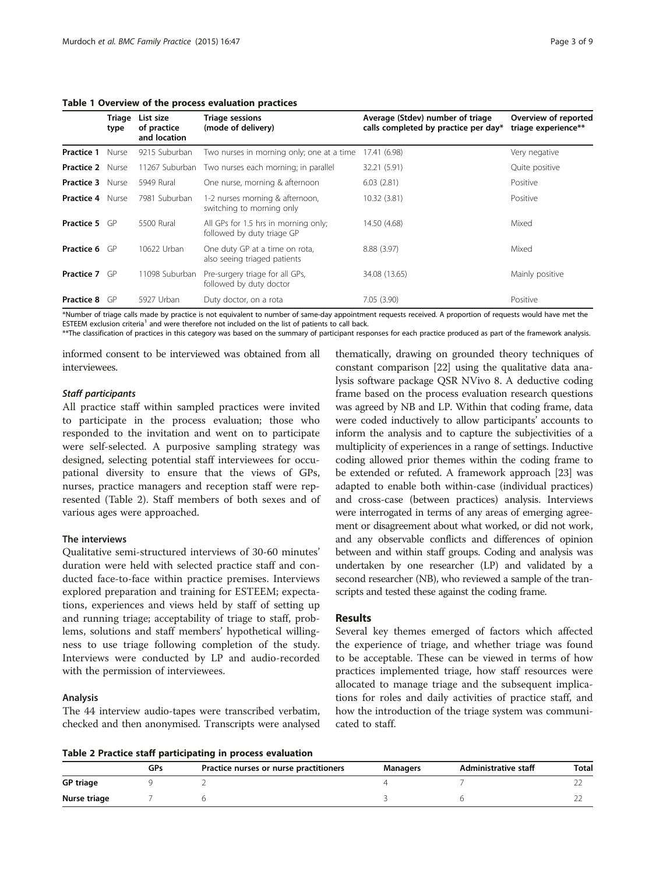Triage List size type of practice and location Triage sessions (mode of delivery) Average (Stdev) number of triage calls completed by practice per day\* Overview of reported triage experience\* **Practice 1** Nurse 9215 Suburban Two nurses in morning only; one at a time 17.41 (6.98) Very negative **Practice 2** Nurse 11267 Suburban Two nurses each morning; in parallel 32.21 (5.91) Quite positive **Practice 3** Nurse 5949 Rural One nurse, morning & afternoon 6.03 (2.81) Channel Bositive **Practice 4** Nurse 7981 Suburban 1-2 nurses morning & afternoon, switching to morning only 10.32 (3.81) Positive **Practice 5** GP 5500 Rural All GPs for 1.5 hrs in morning only; followed by duty triage GP 14.50 (4.68) Mixed **Practice 6** GP 10622 Urban One duty GP at a time on rota, also seeing triaged patients 8.88 (3.97) Mixed **Practice 7** GP 11098 Suburban Pre-surgery triage for all GPs, followed by duty doctor 34.08 (13.65) Mainly positive **Practice 8** GP 5927 Urban Duty doctor, on a rota 7.05 (3.90) 7.05 (3.90)

#### <span id="page-2-0"></span>Table 1 Overview of the process evaluation practices

\*Number of triage calls made by practice is not equivalent to number of same-day appointment requests received. A proportion of requests would have met the ESTEEM exclusion criteria<sup>1</sup> and were therefore not included on the list of patients to call back.

\*\*The classification of practices in this category was based on the summary of participant responses for each practice produced as part of the framework analysis.

informed consent to be interviewed was obtained from all interviewees.

#### Staff participants

All practice staff within sampled practices were invited to participate in the process evaluation; those who responded to the invitation and went on to participate were self-selected. A purposive sampling strategy was designed, selecting potential staff interviewees for occupational diversity to ensure that the views of GPs, nurses, practice managers and reception staff were represented (Table 2). Staff members of both sexes and of various ages were approached.

#### The interviews

Qualitative semi-structured interviews of 30-60 minutes' duration were held with selected practice staff and conducted face-to-face within practice premises. Interviews explored preparation and training for ESTEEM; expectations, experiences and views held by staff of setting up and running triage; acceptability of triage to staff, problems, solutions and staff members' hypothetical willingness to use triage following completion of the study. Interviews were conducted by LP and audio-recorded with the permission of interviewees.

#### Analysis

The 44 interview audio-tapes were transcribed verbatim, checked and then anonymised. Transcripts were analysed

thematically, drawing on grounded theory techniques of constant comparison [[22](#page-8-0)] using the qualitative data analysis software package QSR NVivo 8. A deductive coding frame based on the process evaluation research questions was agreed by NB and LP. Within that coding frame, data were coded inductively to allow participants' accounts to inform the analysis and to capture the subjectivities of a multiplicity of experiences in a range of settings. Inductive coding allowed prior themes within the coding frame to be extended or refuted. A framework approach [\[23\]](#page-8-0) was adapted to enable both within-case (individual practices) and cross-case (between practices) analysis. Interviews were interrogated in terms of any areas of emerging agreement or disagreement about what worked, or did not work, and any observable conflicts and differences of opinion between and within staff groups. Coding and analysis was undertaken by one researcher (LP) and validated by a second researcher (NB), who reviewed a sample of the transcripts and tested these against the coding frame.

# Results

Several key themes emerged of factors which affected the experience of triage, and whether triage was found to be acceptable. These can be viewed in terms of how practices implemented triage, how staff resources were allocated to manage triage and the subsequent implications for roles and daily activities of practice staff, and how the introduction of the triage system was communicated to staff.

| Table 2 Practice staff participating in process evaluation |  |  |  |  |  |
|------------------------------------------------------------|--|--|--|--|--|
|------------------------------------------------------------|--|--|--|--|--|

|                  | GPs | Practice nurses or nurse practitioners | <b>Managers</b> | Administrative staff | Total |
|------------------|-----|----------------------------------------|-----------------|----------------------|-------|
| <b>GP</b> triage |     |                                        |                 |                      |       |
| Nurse triage     |     |                                        |                 |                      |       |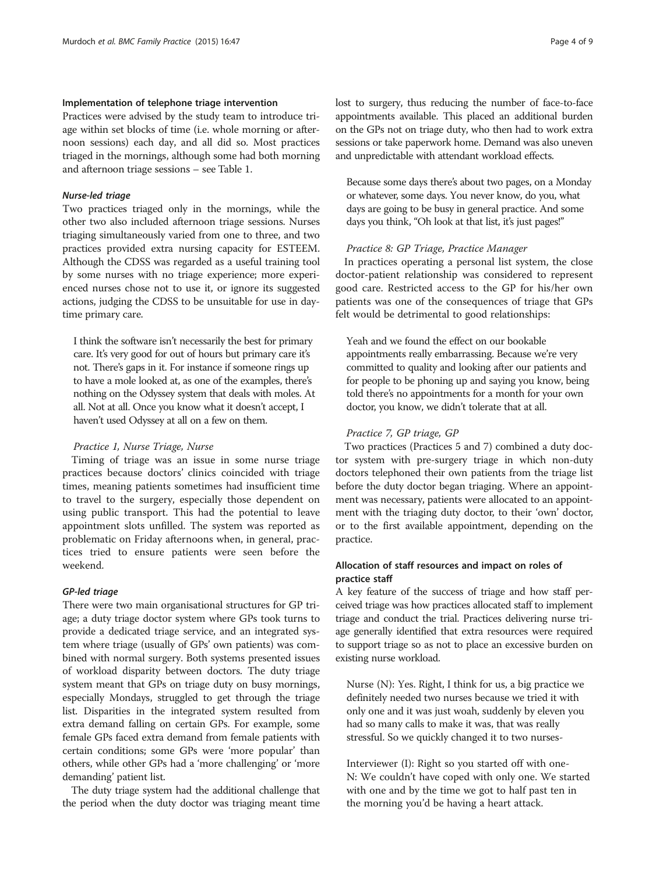#### Implementation of telephone triage intervention

Practices were advised by the study team to introduce triage within set blocks of time (i.e. whole morning or afternoon sessions) each day, and all did so. Most practices triaged in the mornings, although some had both morning and afternoon triage sessions – see Table [1](#page-2-0).

#### Nurse-led triage

Two practices triaged only in the mornings, while the other two also included afternoon triage sessions. Nurses triaging simultaneously varied from one to three, and two practices provided extra nursing capacity for ESTEEM. Although the CDSS was regarded as a useful training tool by some nurses with no triage experience; more experienced nurses chose not to use it, or ignore its suggested actions, judging the CDSS to be unsuitable for use in daytime primary care.

I think the software isn't necessarily the best for primary care. It's very good for out of hours but primary care it's not. There's gaps in it. For instance if someone rings up to have a mole looked at, as one of the examples, there's nothing on the Odyssey system that deals with moles. At all. Not at all. Once you know what it doesn't accept, I haven't used Odyssey at all on a few on them.

### Practice 1, Nurse Triage, Nurse

Timing of triage was an issue in some nurse triage practices because doctors' clinics coincided with triage times, meaning patients sometimes had insufficient time to travel to the surgery, especially those dependent on using public transport. This had the potential to leave appointment slots unfilled. The system was reported as problematic on Friday afternoons when, in general, practices tried to ensure patients were seen before the weekend.

#### GP-led triage

There were two main organisational structures for GP triage; a duty triage doctor system where GPs took turns to provide a dedicated triage service, and an integrated system where triage (usually of GPs' own patients) was combined with normal surgery. Both systems presented issues of workload disparity between doctors. The duty triage system meant that GPs on triage duty on busy mornings, especially Mondays, struggled to get through the triage list. Disparities in the integrated system resulted from extra demand falling on certain GPs. For example, some female GPs faced extra demand from female patients with certain conditions; some GPs were 'more popular' than others, while other GPs had a 'more challenging' or 'more demanding' patient list.

The duty triage system had the additional challenge that the period when the duty doctor was triaging meant time lost to surgery, thus reducing the number of face-to-face appointments available. This placed an additional burden on the GPs not on triage duty, who then had to work extra sessions or take paperwork home. Demand was also uneven and unpredictable with attendant workload effects.

Because some days there's about two pages, on a Monday or whatever, some days. You never know, do you, what days are going to be busy in general practice. And some days you think, "Oh look at that list, it's just pages!"

#### Practice 8: GP Triage, Practice Manager

In practices operating a personal list system, the close doctor-patient relationship was considered to represent good care. Restricted access to the GP for his/her own patients was one of the consequences of triage that GPs felt would be detrimental to good relationships:

Yeah and we found the effect on our bookable appointments really embarrassing. Because we're very committed to quality and looking after our patients and for people to be phoning up and saying you know, being told there's no appointments for a month for your own doctor, you know, we didn't tolerate that at all.

#### Practice 7, GP triage, GP

Two practices (Practices 5 and 7) combined a duty doctor system with pre-surgery triage in which non-duty doctors telephoned their own patients from the triage list before the duty doctor began triaging. Where an appointment was necessary, patients were allocated to an appointment with the triaging duty doctor, to their 'own' doctor, or to the first available appointment, depending on the practice.

# Allocation of staff resources and impact on roles of practice staff

A key feature of the success of triage and how staff perceived triage was how practices allocated staff to implement triage and conduct the trial. Practices delivering nurse triage generally identified that extra resources were required to support triage so as not to place an excessive burden on existing nurse workload.

Nurse (N): Yes. Right, I think for us, a big practice we definitely needed two nurses because we tried it with only one and it was just woah, suddenly by eleven you had so many calls to make it was, that was really stressful. So we quickly changed it to two nurses-

Interviewer (I): Right so you started off with one-N: We couldn't have coped with only one. We started with one and by the time we got to half past ten in the morning you'd be having a heart attack.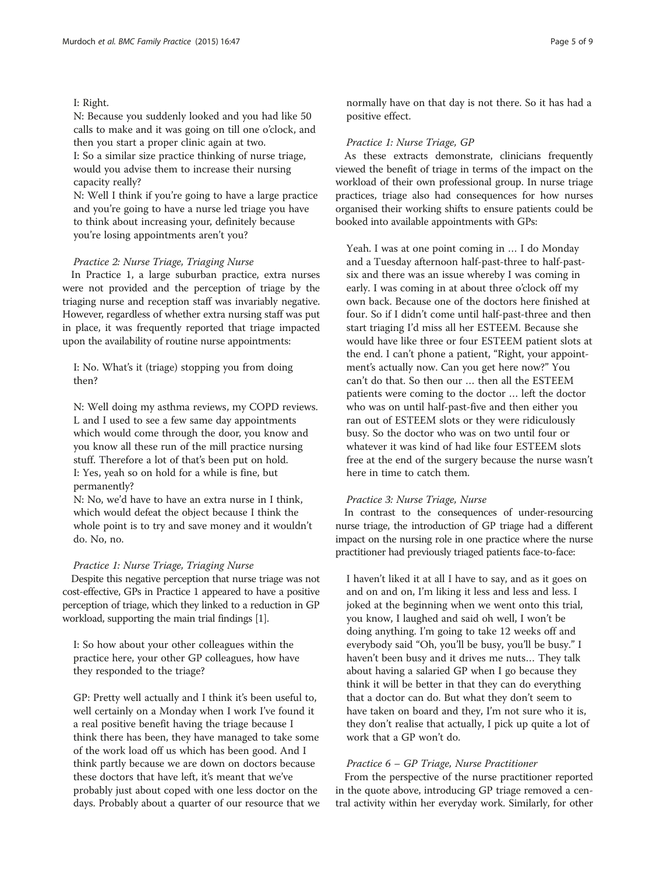### I: Right.

N: Because you suddenly looked and you had like 50 calls to make and it was going on till one o'clock, and then you start a proper clinic again at two. I: So a similar size practice thinking of nurse triage, would you advise them to increase their nursing capacity really?

N: Well I think if you're going to have a large practice and you're going to have a nurse led triage you have to think about increasing your, definitely because you're losing appointments aren't you?

#### Practice 2: Nurse Triage, Triaging Nurse

In Practice 1, a large suburban practice, extra nurses were not provided and the perception of triage by the triaging nurse and reception staff was invariably negative. However, regardless of whether extra nursing staff was put in place, it was frequently reported that triage impacted upon the availability of routine nurse appointments:

I: No. What's it (triage) stopping you from doing then?

N: Well doing my asthma reviews, my COPD reviews. L and I used to see a few same day appointments which would come through the door, you know and you know all these run of the mill practice nursing stuff. Therefore a lot of that's been put on hold. I: Yes, yeah so on hold for a while is fine, but permanently?

N: No, we'd have to have an extra nurse in I think, which would defeat the object because I think the whole point is to try and save money and it wouldn't do. No, no.

## Practice 1: Nurse Triage, Triaging Nurse

Despite this negative perception that nurse triage was not cost-effective, GPs in Practice 1 appeared to have a positive perception of triage, which they linked to a reduction in GP workload, supporting the main trial findings [[1](#page-7-0)].

I: So how about your other colleagues within the practice here, your other GP colleagues, how have they responded to the triage?

GP: Pretty well actually and I think it's been useful to, well certainly on a Monday when I work I've found it a real positive benefit having the triage because I think there has been, they have managed to take some of the work load off us which has been good. And I think partly because we are down on doctors because these doctors that have left, it's meant that we've probably just about coped with one less doctor on the days. Probably about a quarter of our resource that we normally have on that day is not there. So it has had a positive effect.

#### Practice 1: Nurse Triage, GP

As these extracts demonstrate, clinicians frequently viewed the benefit of triage in terms of the impact on the workload of their own professional group. In nurse triage practices, triage also had consequences for how nurses organised their working shifts to ensure patients could be booked into available appointments with GPs:

Yeah. I was at one point coming in … I do Monday and a Tuesday afternoon half-past-three to half-pastsix and there was an issue whereby I was coming in early. I was coming in at about three o'clock off my own back. Because one of the doctors here finished at four. So if I didn't come until half-past-three and then start triaging I'd miss all her ESTEEM. Because she would have like three or four ESTEEM patient slots at the end. I can't phone a patient, "Right, your appointment's actually now. Can you get here now?" You can't do that. So then our … then all the ESTEEM patients were coming to the doctor … left the doctor who was on until half-past-five and then either you ran out of ESTEEM slots or they were ridiculously busy. So the doctor who was on two until four or whatever it was kind of had like four ESTEEM slots free at the end of the surgery because the nurse wasn't here in time to catch them.

#### Practice 3: Nurse Triage, Nurse

In contrast to the consequences of under-resourcing nurse triage, the introduction of GP triage had a different impact on the nursing role in one practice where the nurse practitioner had previously triaged patients face-to-face:

I haven't liked it at all I have to say, and as it goes on and on and on, I'm liking it less and less and less. I joked at the beginning when we went onto this trial, you know, I laughed and said oh well, I won't be doing anything. I'm going to take 12 weeks off and everybody said "Oh, you'll be busy, you'll be busy." I haven't been busy and it drives me nuts… They talk about having a salaried GP when I go because they think it will be better in that they can do everything that a doctor can do. But what they don't seem to have taken on board and they, I'm not sure who it is, they don't realise that actually, I pick up quite a lot of work that a GP won't do.

#### Practice 6 – GP Triage, Nurse Practitioner

From the perspective of the nurse practitioner reported in the quote above, introducing GP triage removed a central activity within her everyday work. Similarly, for other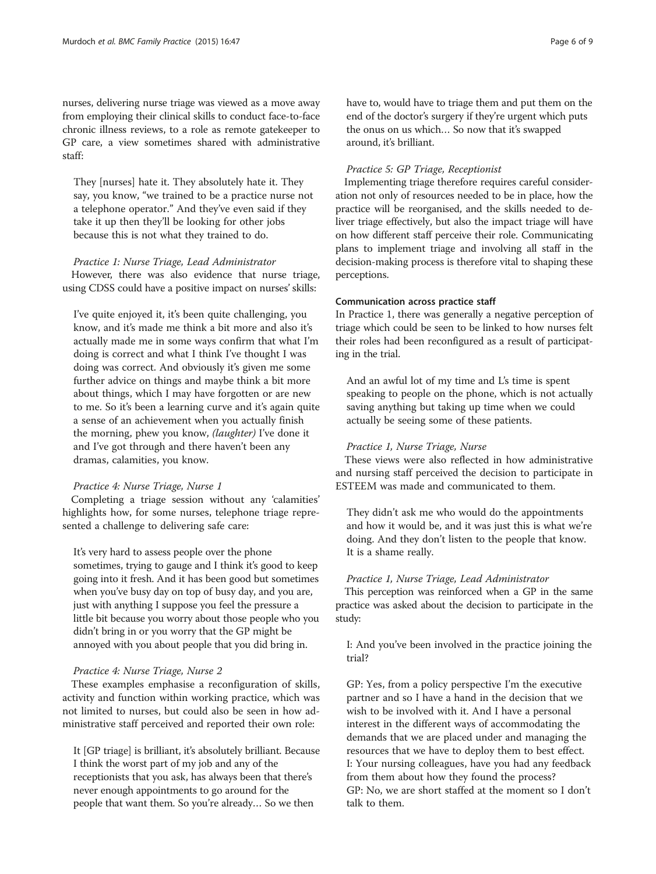nurses, delivering nurse triage was viewed as a move away from employing their clinical skills to conduct face-to-face chronic illness reviews, to a role as remote gatekeeper to GP care, a view sometimes shared with administrative staff:

They [nurses] hate it. They absolutely hate it. They say, you know, "we trained to be a practice nurse not a telephone operator." And they've even said if they take it up then they'll be looking for other jobs because this is not what they trained to do.

#### Practice 1: Nurse Triage, Lead Administrator

However, there was also evidence that nurse triage, using CDSS could have a positive impact on nurses' skills:

I've quite enjoyed it, it's been quite challenging, you know, and it's made me think a bit more and also it's actually made me in some ways confirm that what I'm doing is correct and what I think I've thought I was doing was correct. And obviously it's given me some further advice on things and maybe think a bit more about things, which I may have forgotten or are new to me. So it's been a learning curve and it's again quite a sense of an achievement when you actually finish the morning, phew you know, (laughter) I've done it and I've got through and there haven't been any dramas, calamities, you know.

#### Practice 4: Nurse Triage, Nurse 1

Completing a triage session without any 'calamities' highlights how, for some nurses, telephone triage represented a challenge to delivering safe care:

It's very hard to assess people over the phone sometimes, trying to gauge and I think it's good to keep going into it fresh. And it has been good but sometimes when you've busy day on top of busy day, and you are, just with anything I suppose you feel the pressure a little bit because you worry about those people who you didn't bring in or you worry that the GP might be annoyed with you about people that you did bring in.

#### Practice 4: Nurse Triage, Nurse 2

These examples emphasise a reconfiguration of skills, activity and function within working practice, which was not limited to nurses, but could also be seen in how administrative staff perceived and reported their own role:

It [GP triage] is brilliant, it's absolutely brilliant. Because I think the worst part of my job and any of the receptionists that you ask, has always been that there's never enough appointments to go around for the people that want them. So you're already… So we then

have to, would have to triage them and put them on the end of the doctor's surgery if they're urgent which puts the onus on us which… So now that it's swapped around, it's brilliant.

# Practice 5: GP Triage, Receptionist

Implementing triage therefore requires careful consideration not only of resources needed to be in place, how the practice will be reorganised, and the skills needed to deliver triage effectively, but also the impact triage will have on how different staff perceive their role. Communicating plans to implement triage and involving all staff in the decision-making process is therefore vital to shaping these perceptions.

#### Communication across practice staff

In Practice 1, there was generally a negative perception of triage which could be seen to be linked to how nurses felt their roles had been reconfigured as a result of participating in the trial.

And an awful lot of my time and L's time is spent speaking to people on the phone, which is not actually saving anything but taking up time when we could actually be seeing some of these patients.

#### Practice 1, Nurse Triage, Nurse

These views were also reflected in how administrative and nursing staff perceived the decision to participate in ESTEEM was made and communicated to them.

They didn't ask me who would do the appointments and how it would be, and it was just this is what we're doing. And they don't listen to the people that know. It is a shame really.

#### Practice 1, Nurse Triage, Lead Administrator

This perception was reinforced when a GP in the same practice was asked about the decision to participate in the study:

I: And you've been involved in the practice joining the trial?

GP: Yes, from a policy perspective I'm the executive partner and so I have a hand in the decision that we wish to be involved with it. And I have a personal interest in the different ways of accommodating the demands that we are placed under and managing the resources that we have to deploy them to best effect. I: Your nursing colleagues, have you had any feedback from them about how they found the process? GP: No, we are short staffed at the moment so I don't talk to them.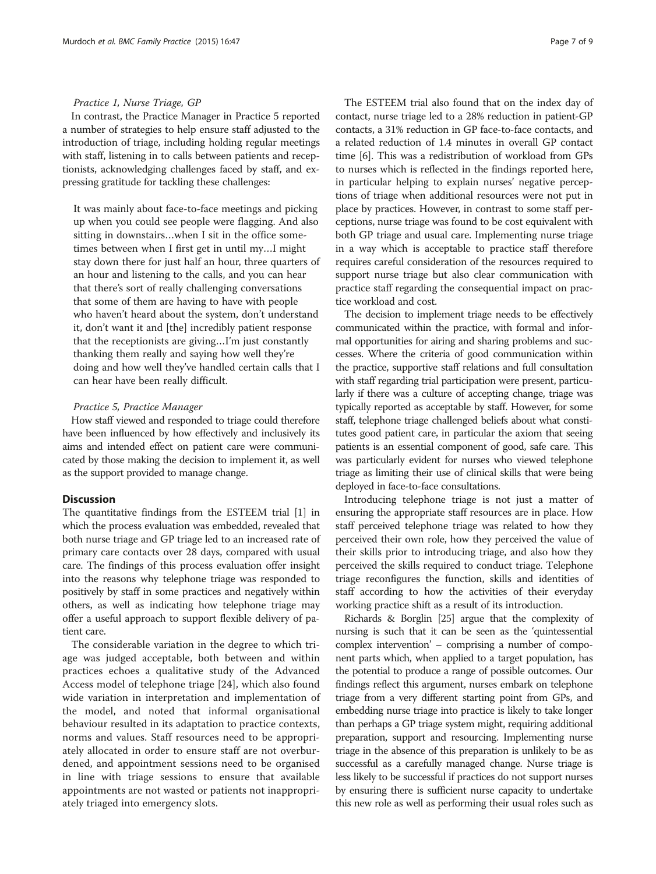#### Practice 1, Nurse Triage, GP

In contrast, the Practice Manager in Practice 5 reported a number of strategies to help ensure staff adjusted to the introduction of triage, including holding regular meetings with staff, listening in to calls between patients and receptionists, acknowledging challenges faced by staff, and expressing gratitude for tackling these challenges:

It was mainly about face-to-face meetings and picking up when you could see people were flagging. And also sitting in downstairs…when I sit in the office sometimes between when I first get in until my…I might stay down there for just half an hour, three quarters of an hour and listening to the calls, and you can hear that there's sort of really challenging conversations that some of them are having to have with people who haven't heard about the system, don't understand it, don't want it and [the] incredibly patient response that the receptionists are giving…I'm just constantly thanking them really and saying how well they're doing and how well they've handled certain calls that I can hear have been really difficult.

#### Practice 5, Practice Manager

How staff viewed and responded to triage could therefore have been influenced by how effectively and inclusively its aims and intended effect on patient care were communicated by those making the decision to implement it, as well as the support provided to manage change.

#### **Discussion**

The quantitative findings from the ESTEEM trial [\[1](#page-7-0)] in which the process evaluation was embedded, revealed that both nurse triage and GP triage led to an increased rate of primary care contacts over 28 days, compared with usual care. The findings of this process evaluation offer insight into the reasons why telephone triage was responded to positively by staff in some practices and negatively within others, as well as indicating how telephone triage may offer a useful approach to support flexible delivery of patient care.

The considerable variation in the degree to which triage was judged acceptable, both between and within practices echoes a qualitative study of the Advanced Access model of telephone triage [[24\]](#page-8-0), which also found wide variation in interpretation and implementation of the model, and noted that informal organisational behaviour resulted in its adaptation to practice contexts, norms and values. Staff resources need to be appropriately allocated in order to ensure staff are not overburdened, and appointment sessions need to be organised in line with triage sessions to ensure that available appointments are not wasted or patients not inappropriately triaged into emergency slots.

The ESTEEM trial also found that on the index day of contact, nurse triage led to a 28% reduction in patient-GP contacts, a 31% reduction in GP face-to-face contacts, and a related reduction of 1.4 minutes in overall GP contact time [\[6](#page-8-0)]. This was a redistribution of workload from GPs to nurses which is reflected in the findings reported here, in particular helping to explain nurses' negative perceptions of triage when additional resources were not put in place by practices. However, in contrast to some staff perceptions, nurse triage was found to be cost equivalent with both GP triage and usual care. Implementing nurse triage in a way which is acceptable to practice staff therefore requires careful consideration of the resources required to support nurse triage but also clear communication with practice staff regarding the consequential impact on practice workload and cost.

The decision to implement triage needs to be effectively communicated within the practice, with formal and informal opportunities for airing and sharing problems and successes. Where the criteria of good communication within the practice, supportive staff relations and full consultation with staff regarding trial participation were present, particularly if there was a culture of accepting change, triage was typically reported as acceptable by staff. However, for some staff, telephone triage challenged beliefs about what constitutes good patient care, in particular the axiom that seeing patients is an essential component of good, safe care. This was particularly evident for nurses who viewed telephone triage as limiting their use of clinical skills that were being deployed in face-to-face consultations.

Introducing telephone triage is not just a matter of ensuring the appropriate staff resources are in place. How staff perceived telephone triage was related to how they perceived their own role, how they perceived the value of their skills prior to introducing triage, and also how they perceived the skills required to conduct triage. Telephone triage reconfigures the function, skills and identities of staff according to how the activities of their everyday working practice shift as a result of its introduction.

Richards & Borglin [\[25\]](#page-8-0) argue that the complexity of nursing is such that it can be seen as the 'quintessential complex intervention' – comprising a number of component parts which, when applied to a target population, has the potential to produce a range of possible outcomes. Our findings reflect this argument, nurses embark on telephone triage from a very different starting point from GPs, and embedding nurse triage into practice is likely to take longer than perhaps a GP triage system might, requiring additional preparation, support and resourcing. Implementing nurse triage in the absence of this preparation is unlikely to be as successful as a carefully managed change. Nurse triage is less likely to be successful if practices do not support nurses by ensuring there is sufficient nurse capacity to undertake this new role as well as performing their usual roles such as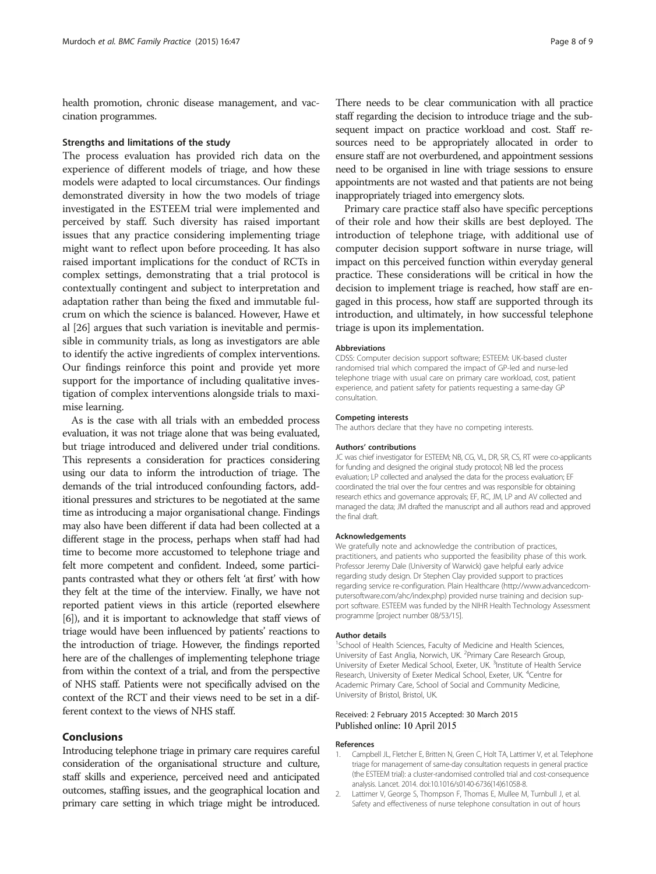<span id="page-7-0"></span>health promotion, chronic disease management, and vaccination programmes.

#### Strengths and limitations of the study

The process evaluation has provided rich data on the experience of different models of triage, and how these models were adapted to local circumstances. Our findings demonstrated diversity in how the two models of triage investigated in the ESTEEM trial were implemented and perceived by staff. Such diversity has raised important issues that any practice considering implementing triage might want to reflect upon before proceeding. It has also raised important implications for the conduct of RCTs in complex settings, demonstrating that a trial protocol is contextually contingent and subject to interpretation and adaptation rather than being the fixed and immutable fulcrum on which the science is balanced. However, Hawe et al [\[26](#page-8-0)] argues that such variation is inevitable and permissible in community trials, as long as investigators are able to identify the active ingredients of complex interventions. Our findings reinforce this point and provide yet more support for the importance of including qualitative investigation of complex interventions alongside trials to maximise learning.

As is the case with all trials with an embedded process evaluation, it was not triage alone that was being evaluated, but triage introduced and delivered under trial conditions. This represents a consideration for practices considering using our data to inform the introduction of triage. The demands of the trial introduced confounding factors, additional pressures and strictures to be negotiated at the same time as introducing a major organisational change. Findings may also have been different if data had been collected at a different stage in the process, perhaps when staff had had time to become more accustomed to telephone triage and felt more competent and confident. Indeed, some participants contrasted what they or others felt 'at first' with how they felt at the time of the interview. Finally, we have not reported patient views in this article (reported elsewhere [[6](#page-8-0)]), and it is important to acknowledge that staff views of triage would have been influenced by patients' reactions to the introduction of triage. However, the findings reported here are of the challenges of implementing telephone triage from within the context of a trial, and from the perspective of NHS staff. Patients were not specifically advised on the context of the RCT and their views need to be set in a different context to the views of NHS staff.

#### Conclusions

Introducing telephone triage in primary care requires careful consideration of the organisational structure and culture, staff skills and experience, perceived need and anticipated outcomes, staffing issues, and the geographical location and primary care setting in which triage might be introduced. There needs to be clear communication with all practice staff regarding the decision to introduce triage and the subsequent impact on practice workload and cost. Staff resources need to be appropriately allocated in order to ensure staff are not overburdened, and appointment sessions need to be organised in line with triage sessions to ensure appointments are not wasted and that patients are not being inappropriately triaged into emergency slots.

Primary care practice staff also have specific perceptions of their role and how their skills are best deployed. The introduction of telephone triage, with additional use of computer decision support software in nurse triage, will impact on this perceived function within everyday general practice. These considerations will be critical in how the decision to implement triage is reached, how staff are engaged in this process, how staff are supported through its introduction, and ultimately, in how successful telephone triage is upon its implementation.

#### Abbreviations

CDSS: Computer decision support software; ESTEEM: UK-based cluster randomised trial which compared the impact of GP-led and nurse-led telephone triage with usual care on primary care workload, cost, patient experience, and patient safety for patients requesting a same-day GP consultation.

#### Competing interests

The authors declare that they have no competing interests.

#### Authors' contributions

JC was chief investigator for ESTEEM; NB, CG, VL, DR, SR, CS, RT were co-applicants for funding and designed the original study protocol; NB led the process evaluation; LP collected and analysed the data for the process evaluation; EF coordinated the trial over the four centres and was responsible for obtaining research ethics and governance approvals; EF, RC, JM, LP and AV collected and managed the data; JM drafted the manuscript and all authors read and approved the final draft.

#### Acknowledgements

We gratefully note and acknowledge the contribution of practices, practitioners, and patients who supported the feasibility phase of this work. Professor Jeremy Dale (University of Warwick) gave helpful early advice regarding study design. Dr Stephen Clay provided support to practices regarding service re-configuration. Plain Healthcare [\(http://www.advancedcom](http://www.advancedcomputersoftware.com/ahc/index.php)[putersoftware.com/ahc/index.php\)](http://www.advancedcomputersoftware.com/ahc/index.php) provided nurse training and decision support software. ESTEEM was funded by the NIHR Health Technology Assessment programme [project number 08/53/15].

#### Author details

<sup>1</sup>School of Health Sciences, Faculty of Medicine and Health Sciences, University of East Anglia, Norwich, UK.<sup>2</sup> Primary Care Research Group, University of Exeter Medical School, Exeter, UK.<sup>3</sup>Institute of Health Service Research, University of Exeter Medical School, Exeter, UK. <sup>4</sup>Centre for Academic Primary Care, School of Social and Community Medicine, University of Bristol, Bristol, UK.

#### Received: 2 February 2015 Accepted: 30 March 2015 Published online: 10 April 2015

#### References

- 1. Campbell JL, Fletcher E, Britten N, Green C, Holt TA, Lattimer V, et al. Telephone triage for management of same-day consultation requests in general practice (the ESTEEM trial): a cluster-randomised controlled trial and cost-consequence analysis. Lancet. 2014. doi:10.1016/s0140-6736(14)61058-8.
- 2. Lattimer V, George S, Thompson F, Thomas E, Mullee M, Turnbull J, et al. Safety and effectiveness of nurse telephone consultation in out of hours